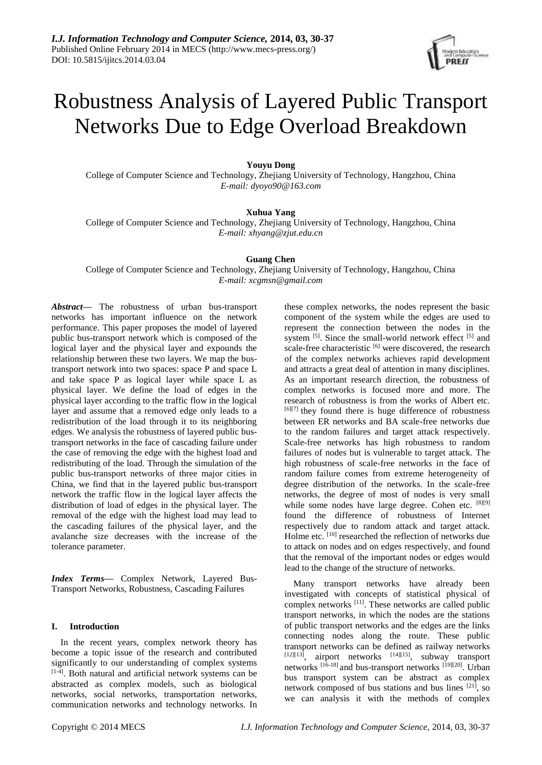

# Robustness Analysis of Layered Public Transport Networks Due to Edge Overload Breakdown

## **Youyu Dong**

College of Computer Science and Technology, Zhejiang University of Technology, Hangzhou, China *E-mail: dyoyo90@163.com*

## **Xuhua Yang**

College of Computer Science and Technology, Zhejiang University of Technology, Hangzhou, China *E-mail: xhyang@zjut.edu.cn*

## **Guang Chen**

College of Computer Science and Technology, Zhejiang University of Technology, Hangzhou, China *E-mail: xcgmsn@gmail.com*

*Abstract***—** The robustness of urban bus-transport networks has important influence on the network performance. This paper proposes the model of layered public bus-transport network which is composed of the logical layer and the physical layer and expounds the relationship between these two layers. We map the bustransport network into two spaces: space P and space L and take space P as logical layer while space L as physical layer. We define the load of edges in the physical layer according to the traffic flow in the logical layer and assume that a removed edge only leads to a redistribution of the load through it to its neighboring edges. We analysis the robustness of layered public bustransport networks in the face of cascading failure under the case of removing the edge with the highest load and redistributing of the load. Through the simulation of the public bus-transport networks of three major cities in China, we find that in the layered public bus-transport network the traffic flow in the logical layer affects the distribution of load of edges in the physical layer. The removal of the edge with the highest load may lead to the cascading failures of the physical layer, and the avalanche size decreases with the increase of the tolerance parameter.

*Index Terms***—** Complex Network, Layered Bus-Transport Networks, Robustness, Cascading Failures

#### **I. Introduction**

In the recent years, complex network theory has become a topic issue of the research and contributed significantly to our understanding of complex systems [1-4]. Both natural and artificial network systems can be abstracted as complex models, such as biological networks, social networks, transportation networks, communication networks and technology networks. In

these complex networks, the nodes represent the basic component of the system while the edges are used to represent the connection between the nodes in the system <sup>[5]</sup>. Since the small-world network effect <sup>[5]</sup> and scale-free characteristic [6] were discovered, the research of the complex networks achieves rapid development and attracts a great deal of attention in many disciplines. As an important research direction, the robustness of complex networks is focused more and more. The research of robustness is from the works of Albert etc.  $[6]$ [7] they found there is huge difference of robustness between ER networks and BA scale-free networks due to the random failures and target attack respectively. Scale-free networks has high robustness to random failures of nodes but is vulnerable to target attack. The high robustness of scale-free networks in the face of random failure comes from extreme heterogeneity of degree distribution of the networks. In the scale-free networks, the degree of most of nodes is very small while some nodes have large degree. Cohen etc. [8][9] found the difference of robustness of Internet respectively due to random attack and target attack. Holme etc. [10] researched the reflection of networks due to attack on nodes and on edges respectively, and found that the removal of the important nodes or edges would lead to the change of the structure of networks.

Many transport networks have already been investigated with concepts of statistical physical of complex networks [11]. These networks are called public transport networks, in which the nodes are the stations of public transport networks and the edges are the links connecting nodes along the route. These public transport networks can be defined as railway networks  $[12][13]$ , airport networks  $[14][15]$ , subway transport networks <sup>[16-18]</sup> and bus-transport networks <sup>[19][20]</sup>. Urban bus transport system can be abstract as complex network composed of bus stations and bus lines [21], so we can analysis it with the methods of complex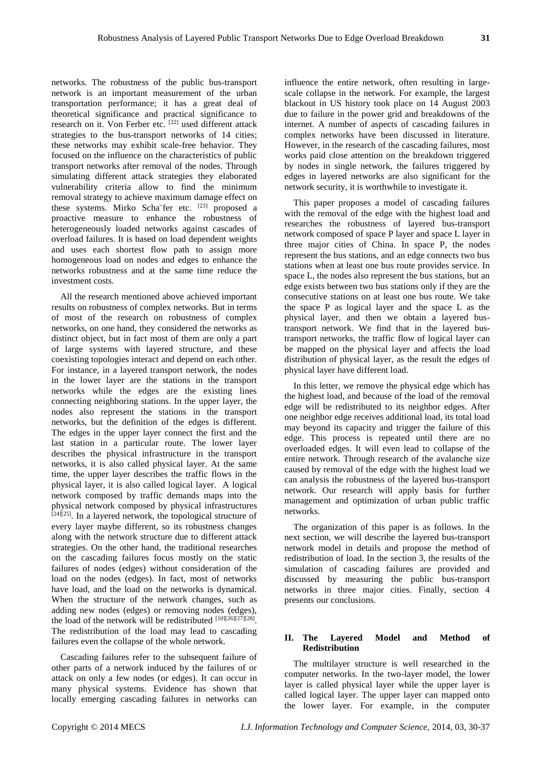networks. The robustness of the public bus-transport network is an important measurement of the urban transportation performance; it has a great deal of theoretical significance and practical significance to research on it. Von Ferber etc. <sup>[22]</sup> used different attack strategies to the bus-transport networks of 14 cities; these networks may exhibit scale-free behavior. They focused on the influence on the characteristics of public transport networks after removal of the nodes. Through simulating different attack strategies they elaborated vulnerability criteria allow to find the minimum removal strategy to achieve maximum damage effect on these systems. Mirko Scha fer etc.  $[23]$  proposed a proactive measure to enhance the robustness of heterogeneously loaded networks against cascades of overload failures. It is based on load dependent weights and uses each shortest flow path to assign more homogeneous load on nodes and edges to enhance the networks robustness and at the same time reduce the investment costs.

All the research mentioned above achieved important results on robustness of complex networks. But in terms of most of the research on robustness of complex networks, on one hand, they considered the networks as distinct object, but in fact most of them are only a part of large systems with layered structure, and these coexisting topologies interact and depend on each other. For instance, in a layered transport network, the nodes in the lower layer are the stations in the transport networks while the edges are the existing lines connecting neighboring stations. In the upper layer, the nodes also represent the stations in the transport networks, but the definition of the edges is different. The edges in the upper layer connect the first and the last station in a particular route. The lower layer describes the physical infrastructure in the transport networks, it is also called physical layer. At the same time, the upper layer describes the traffic flows in the physical layer, it is also called logical layer. A logical network composed by traffic demands maps into the physical network composed by physical infrastructures  $[24][25]$ . In a layered network, the topological structure of every layer maybe different, so its robustness changes along with the network structure due to different attack strategies. On the other hand, the traditional researches on the cascading failures focus mostly on the static failures of nodes (edges) without consideration of the load on the nodes (edges). In fact, most of networks have load, and the load on the networks is dynamical. When the structure of the network changes, such as adding new nodes (edges) or removing nodes (edges), the load of the network will be redistributed [10][26][27][28]. The redistribution of the load may lead to cascading failures even the collapse of the whole network.

Cascading failures refer to the subsequent failure of other parts of a network induced by the failures of or attack on only a few nodes (or edges). It can occur in many physical systems. Evidence has shown that locally emerging cascading failures in networks can

influence the entire network, often resulting in largescale collapse in the network. For example, the largest blackout in US history took place on 14 August 2003 due to failure in the power grid and breakdowns of the internet. A number of aspects of cascading failures in complex networks have been discussed in literature. However, in the research of the cascading failures, most works paid close attention on the breakdown triggered by nodes in single network, the failures triggered by edges in layered networks are also significant for the network security, it is worthwhile to investigate it.

This paper proposes a model of cascading failures with the removal of the edge with the highest load and researches the robustness of layered bus-transport network composed of space P layer and space L layer in three major cities of China. In space P, the nodes represent the bus stations, and an edge connects two bus stations when at least one bus route provides service. In space L, the nodes also represent the bus stations, but an edge exists between two bus stations only if they are the consecutive stations on at least one bus route. We take the space P as logical layer and the space L as the physical layer, and then we obtain a layered bustransport network. We find that in the layered bustransport networks, the traffic flow of logical layer can be mapped on the physical layer and affects the load distribution of physical layer, as the result the edges of physical layer have different load.

In this letter, we remove the physical edge which has the highest load, and because of the load of the removal edge will be redistributed to its neighbor edges. After one neighbor edge receives additional load, its total load may beyond its capacity and trigger the failure of this edge. This process is repeated until there are no overloaded edges. It will even lead to collapse of the entire network. Through research of the avalanche size caused by removal of the edge with the highest load we can analysis the robustness of the layered bus-transport network. Our research will apply basis for further management and optimization of urban public traffic networks.

The organization of this paper is as follows. In the next section, we will describe the layered bus-transport network model in details and propose the method of redistribution of load. In the section 3, the results of the simulation of cascading failures are provided and discussed by measuring the public bus-transport networks in three major cities. Finally, section 4 presents our conclusions.

# **II. The Layered Model and Method of Redistribution**

The multilayer structure is well researched in the computer networks. In the two-layer model, the lower layer is called physical layer while the upper layer is called logical layer. The upper layer can mapped onto the lower layer. For example, in the computer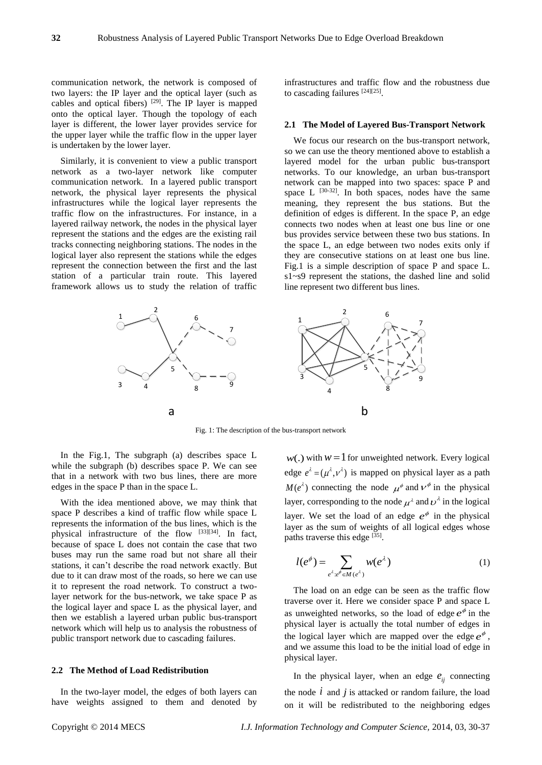communication network, the network is composed of two layers: the IP layer and the optical layer (such as cables and optical fibers) [29]. The IP layer is mapped onto the optical layer. Though the topology of each layer is different, the lower layer provides service for the upper layer while the traffic flow in the upper layer is undertaken by the lower layer.

Similarly, it is convenient to view a public transport network as a two-layer network like computer communication network. In a layered public transport network, the physical layer represents the physical infrastructures while the logical layer represents the traffic flow on the infrastructures. For instance, in a layered railway network, the nodes in the physical layer represent the stations and the edges are the existing rail tracks connecting neighboring stations. The nodes in the logical layer also represent the stations while the edges represent the connection between the first and the last station of a particular train route. This layered framework allows us to study the relation of traffic

infrastructures and traffic flow and the robustness due to cascading failures  $[24][25]$ .

#### **2.1 The Model of Layered Bus-Transport Network**

We focus our research on the bus-transport network, so we can use the theory mentioned above to establish a layered model for the urban public bus-transport networks. To our knowledge, an urban bus-transport network can be mapped into two spaces: space P and space L  $^{[30-32]}$ . In both spaces, nodes have the same meaning, they represent the bus stations. But the definition of edges is different. In the space P, an edge connects two nodes when at least one bus line or one bus provides service between these two bus stations. In the space L, an edge between two nodes exits only if they are consecutive stations on at least one bus line. Fig.1 is a simple description of space P and space L. s1~s9 represent the stations, the dashed line and solid line represent two different bus lines.



Fig. 1: The description of the bus-transport network

In the Fig.1, The subgraph (a) describes space L while the subgraph (b) describes space P. We can see that in a network with two bus lines, there are more edges in the space P than in the space L.

With the idea mentioned above, we may think that space P describes a kind of traffic flow while space L represents the information of the bus lines, which is the physical infrastructure of the flow [33][34]. In fact, because of space L does not contain the case that two buses may run the same road but not share all their stations, it can't describe the road network exactly. But due to it can draw most of the roads, so here we can use it to represent the road network. To construct a twolayer network for the bus-network, we take space P as the logical layer and space L as the physical layer, and then we establish a layered urban public bus-transport network which will help us to analysis the robustness of public transport network due to cascading failures.

#### **2.2 The Method of Load Redistribution**

In the two-layer model, the edges of both layers can have weights assigned to them and denoted by

 $w(.)$  with  $w = 1$  for unweighted network. Every logical edge  $e^{\lambda} = (\mu^{\lambda}, v^{\lambda})$  is mapped on physical layer as a path  $M(e^{\lambda})$  connecting the node  $\mu^{\phi}$  and  $\nu^{\phi}$  in the physical layer, corresponding to the node  $\mu^{\lambda}$  and  $\nu^{\lambda}$  in the logical layer. We set the load of an edge  $e^{\phi}$  in the physical layer as the sum of weights of all logical edges whose paths traverse this edge [35].

$$
l(e^{\phi}) = \sum_{e^{\lambda}:e^{\phi} \in M(e^{\lambda})} w(e^{\lambda})
$$
 (1)

The load on an edge can be seen as the traffic flow traverse over it. Here we consider space P and space L as unweighted networks, so the load of edge  $e^{\phi}$  in the physical layer is actually the total number of edges in the logical layer which are mapped over the edge  $e^{\phi}$ , and we assume this load to be the initial load of edge in physical layer.

In the physical layer, when an edge  $e_{ij}$  connecting the node  $i$  and  $j$  is attacked or random failure, the load on it will be redistributed to the neighboring edges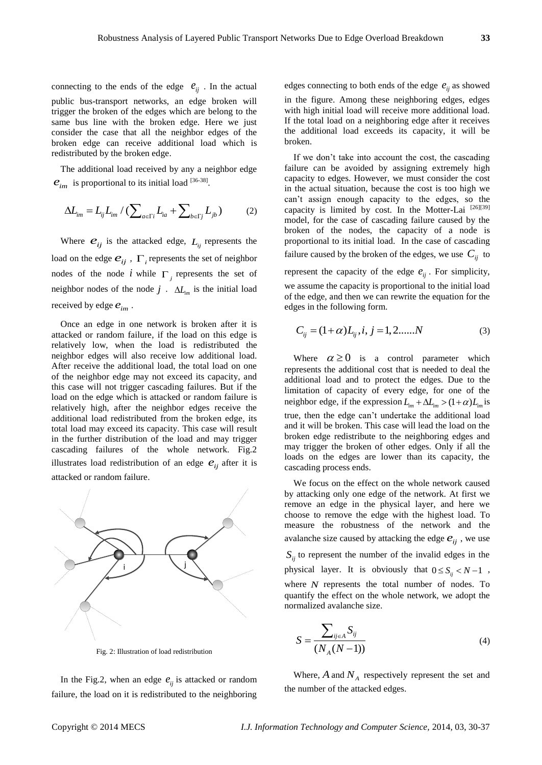connecting to the ends of the edge  $e_{ij}$ . In the actual public bus-transport networks, an edge broken will trigger the broken of the edges which are belong to the same bus line with the broken edge. Here we just consider the case that all the neighbor edges of the broken edge can receive additional load which is redistributed by the broken edge.

The additional load received by any a neighbor edge

$$
e_{im}
$$
 is proportional to its initial load [36-38].  

$$
\Delta L_{im} = L_{ij} L_{im} / (\sum_{a \in \Gamma i} L_{ia} + \sum_{b \in \Gamma j} L_{jb})
$$
 (2)

Where  $e_{ij}$  is the attacked edge,  $L_{ij}$  represents the load on the edge  $e_{ij}$  ,  $\Gamma_i$  represents the set of neighbor nodes of the node  $i$  while  $\Gamma_j$  represents the set of neighbor nodes of the node  $j$ .  $\Delta L_{im}$  is the initial load received by edge  $e_{im}$  .

Once an edge in one network is broken after it is attacked or random failure, if the load on this edge is relatively low, when the load is redistributed the neighbor edges will also receive low additional load. After receive the additional load, the total load on one of the neighbor edge may not exceed its capacity, and this case will not trigger cascading failures. But if the load on the edge which is attacked or random failure is relatively high, after the neighbor edges receive the additional load redistributed from the broken edge, its total load may exceed its capacity. This case will result in the further distribution of the load and may trigger cascading failures of the whole network. Fig.2 illustrates load redistribution of an edge  $e_{ij}$  after it is attacked or random failure.



Fig. 2: Illustration of load redistribution

In the Fig.2, when an edge  $e_{ij}$  is attacked or random failure, the load on it is redistributed to the neighboring

edges connecting to both ends of the edge  $e_{ij}$  as showed in the figure. Among these neighboring edges, edges with high initial load will receive more additional load. If the total load on a neighboring edge after it receives the additional load exceeds its capacity, it will be broken.

If we don't take into account the cost, the cascading failure can be avoided by assigning extremely high capacity to edges. However, we must consider the cost in the actual situation, because the cost is too high we can't assign enough capacity to the edges, so the capacity is limited by cost. In the Motter-Lai [26][39] model, for the case of cascading failure caused by the broken of the nodes, the capacity of a node is proportional to its initial load. In the case of cascading failure caused by the broken of the edges, we use  $C_{ij}$  to

represent the capacity of the edge  $e_{ij}$ . For simplicity, we assume the capacity is proportional to the initial load of the edge, and then we can rewrite the equation for the edges in the following form.

$$
C_{ij} = (1 + \alpha)L_{ij}, i, j = 1, 2, \dots N
$$
 (3)

Where  $\alpha \ge 0$  is a control parameter which represents the additional cost that is needed to deal the additional load and to protect the edges. Due to the limitation of capacity of every edge, for one of the neighbor edge, if the expression  $L_{im} + \Delta L_{im} > (1 + \alpha) L_{im}$  is true, then the edge can't undertake the additional load and it will be broken. This case will lead the load on the broken edge redistribute to the neighboring edges and may trigger the broken of other edges. Only if all the loads on the edges are lower than its capacity, the cascading process ends.

We focus on the effect on the whole network caused by attacking only one edge of the network. At first we remove an edge in the physical layer, and here we choose to remove the edge with the highest load. To measure the robustness of the network and the avalanche size caused by attacking the edge  $e_{ij}$ , we use  $S_{ij}$  to represent the number of the invalid edges in the physical layer. It is obviously that  $0 \leq S_{ij} < N-1$ , where *N* represents the total number of nodes. To quantify the effect on the whole network, we adopt the normalized avalanche size.

$$
S = \frac{\sum_{ij \in A} S_{ij}}{(N_A(N-1))}
$$
 (4)

Where,  $A$  and  $N_A$  respectively represent the set and the number of the attacked edges.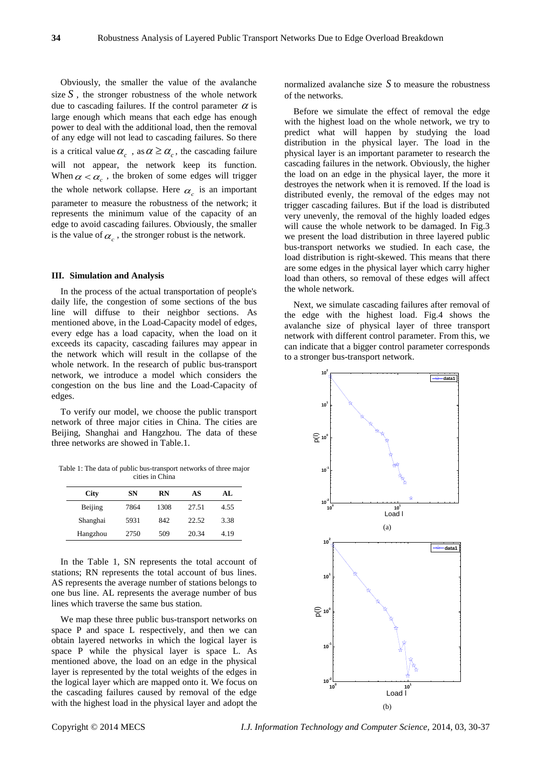Obviously, the smaller the value of the avalanche size  $S$ , the stronger robustness of the whole network due to cascading failures. If the control parameter  $\alpha$  is large enough which means that each edge has enough power to deal with the additional load, then the removal of any edge will not lead to cascading failures. So there is a critical value  $\alpha_c$ , as  $\alpha \geq \alpha_c$ , the cascading failure will not appear, the network keep its function. When  $\alpha < \alpha_c$ , the broken of some edges will trigger the whole network collapse. Here  $\alpha_c$  is an important parameter to measure the robustness of the network; it represents the minimum value of the capacity of an edge to avoid cascading failures. Obviously, the smaller is the value of  $\alpha_c$ , the stronger robust is the network.

# **III. Simulation and Analysis**

In the process of the actual transportation of people's daily life, the congestion of some sections of the bus line will diffuse to their neighbor sections. As mentioned above, in the Load-Capacity model of edges, every edge has a load capacity, when the load on it exceeds its capacity, cascading failures may appear in the network which will result in the collapse of the whole network. In the research of public bus-transport network, we introduce a model which considers the congestion on the bus line and the Load-Capacity of edges.

To verify our model, we choose the public transport network of three major cities in China. The cities are Beijing, Shanghai and Hangzhou. The data of these three networks are showed in Table.1.

Table 1: The data of public bus-transport networks of three major cities in China

| <b>City</b> | SN   | <b>RN</b> | AS    | AL.  |
|-------------|------|-----------|-------|------|
| Beijing     | 7864 | 1308      | 27.51 | 4.55 |
| Shanghai    | 5931 | 842       | 22.52 | 3.38 |
| Hangzhou    | 2750 | 509       | 20.34 | 4.19 |

In the Table 1, SN represents the total account of stations; RN represents the total account of bus lines. AS represents the average number of stations belongs to one bus line. AL represents the average number of bus lines which traverse the same bus station.

We map these three public bus-transport networks on space P and space L respectively, and then we can obtain layered networks in which the logical layer is space P while the physical layer is space L. As mentioned above, the load on an edge in the physical layer is represented by the total weights of the edges in the logical layer which are mapped onto it. We focus on the cascading failures caused by removal of the edge with the highest load in the physical layer and adopt the

normalized avalanche size  $S$  to measure the robustness of the networks.

Before we simulate the effect of removal the edge with the highest load on the whole network, we try to predict what will happen by studying the load distribution in the physical layer. The load in the physical layer is an important parameter to research the cascading failures in the network. Obviously, the higher the load on an edge in the physical layer, the more it destroyes the network when it is removed. If the load is distributed evenly, the removal of the edges may not trigger cascading failures. But if the load is distributed very unevenly, the removal of the highly loaded edges will cause the whole network to be damaged. In Fig.3 we present the load distribution in three layered public bus-transport networks we studied. In each case, the load distribution is right-skewed. This means that there are some edges in the physical layer which carry higher load than others, so removal of these edges will affect the whole network.

Next, we simulate cascading failures after removal of the edge with the highest load. Fig.4 shows the avalanche size of physical layer of three transport network with different control parameter. From this, we can indicate that a bigger control parameter corresponds to a stronger bus-transport network.



Copyright © 2014 MECS *I.J. Information Technology and Computer Science,* 2014, 03, 30-37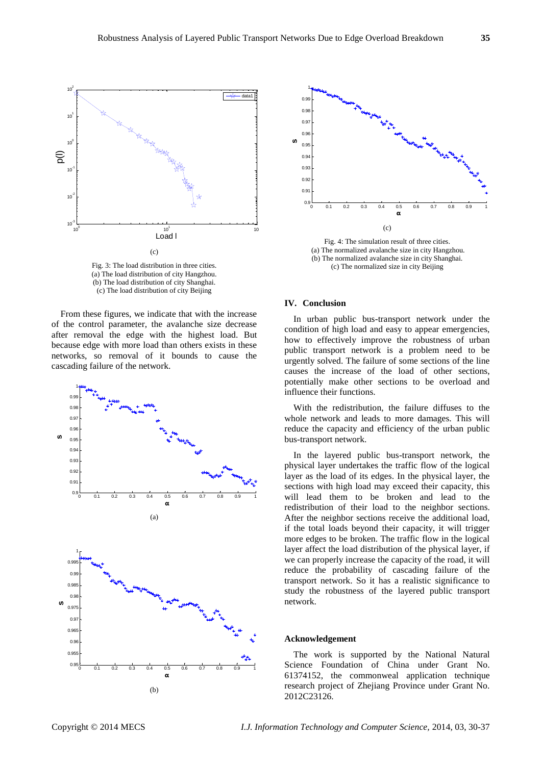

Fig. 3: The load distribution in three cities. (a) The load distribution of city Hangzhou. (b) The load distribution of city Shanghai. (c) The load distribution of city Beijing

From these figures, we indicate that with the increase of the control parameter, the avalanche size decrease after removal the edge with the highest load. But because edge with more load than others exists in these networks, so removal of it bounds to cause the cascading failure of the network.





Fig. 4: The simulation result of three cities. (a) The normalized avalanche size in city Hangzhou. (b) The normalized avalanche size in city Shanghai. (c) The normalized size in city Beijing

#### **IV. Conclusion**

In urban public bus-transport network under the condition of high load and easy to appear emergencies, how to effectively improve the robustness of urban public transport network is a problem need to be urgently solved. The failure of some sections of the line causes the increase of the load of other sections, potentially make other sections to be overload and influence their functions.

With the redistribution, the failure diffuses to the whole network and leads to more damages. This will reduce the capacity and efficiency of the urban public bus-transport network.

In the layered public bus-transport network, the physical layer undertakes the traffic flow of the logical layer as the load of its edges. In the physical layer, the sections with high load may exceed their capacity, this will lead them to be broken and lead to the redistribution of their load to the neighbor sections. After the neighbor sections receive the additional load, if the total loads beyond their capacity, it will trigger more edges to be broken. The traffic flow in the logical layer affect the load distribution of the physical layer, if we can properly increase the capacity of the road, it will reduce the probability of cascading failure of the transport network. So it has a realistic significance to study the robustness of the layered public transport network.

#### **Acknowledgement**

The work is supported by the National Natural Science Foundation of China under Grant No. 61374152, the commonweal application technique research project of Zhejiang Province under Grant No. 2012C23126.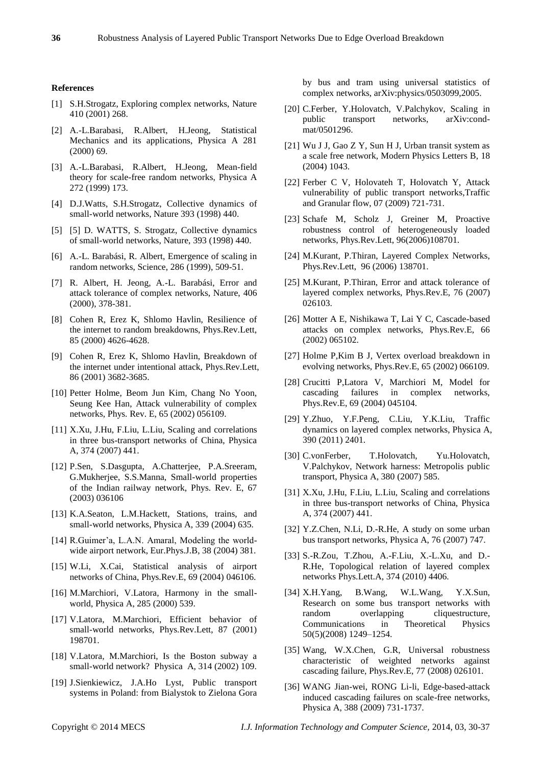#### **References**

- [1] S.H.Strogatz, Exploring complex networks, Nature 410 (2001) 268.
- [2] A.-L.Barabasi, R.Albert, H.Jeong, Statistical Mechanics and its applications, Physica A 281 (2000) 69.
- [3] A.-L.Barabasi, R.Albert, H.Jeong, Mean-field theory for scale-free random networks, Physica A 272 (1999) 173.
- [4] D.J.Watts, S.H.Strogatz, Collective dynamics of small-world networks, Nature 393 (1998) 440.
- [5] [5] D. WATTS, S. Strogatz, Collective dynamics of small-world networks, Nature, 393 (1998) 440.
- [6] A.-L. Barab ási, R. Albert, Emergence of scaling in random networks, Science, 286 (1999), 509-51.
- [7] R. Albert, H. Jeong, A.-L. Barabási, Error and attack tolerance of complex networks, Nature, 406 (2000), 378-381.
- [8] Cohen R, Erez K, Shlomo Havlin, Resilience of the internet to random breakdowns, Phys.Rev.Lett, 85 (2000) 4626-4628.
- [9] Cohen R, Erez K, Shlomo Havlin, Breakdown of the internet under intentional attack, Phys.Rev.Lett, 86 (2001) 3682-3685.
- [10] Petter Holme, Beom Jun Kim, Chang No Yoon, Seung Kee Han, Attack vulnerability of complex networks, Phys. Rev. E, 65 (2002) 056109.
- [11] X.Xu, J.Hu, F.Liu, L.Liu, Scaling and correlations in three bus-transport networks of China, Physica A, 374 (2007) 441.
- [12] P.Sen, S.Dasgupta, A.Chatterjee, P.A.Sreeram, G.Mukherjee, S.S.Manna, Small-world properties of the Indian railway network, Phys. Rev. E, 67 (2003) 036106
- [13] K.A.Seaton, L.M.Hackett, Stations, trains, and small-world networks, Physica A, 339 (2004) 635.
- [14] R.Guimer'a, L.A.N. Amaral, Modeling the worldwide airport network, Eur.Phys.J.B, 38 (2004) 381.
- [15] W.Li, X.Cai, Statistical analysis of airport networks of China, Phys.Rev.E, 69 (2004) 046106.
- [16] M.Marchiori, V.Latora, Harmony in the smallworld, Physica A, 285 (2000) 539.
- [17] V.Latora, M.Marchiori, Efficient behavior of small-world networks, Phys.Rev.Lett, 87 (2001) 198701.
- [18] V.Latora, M.Marchiori, Is the Boston subway a small-world network? Physica A, 314 (2002) 109.
- [19] J.Sienkiewicz, J.A.Ho Lyst, Public transport systems in Poland: from Bialystok to Zielona Gora

by bus and tram using universal statistics of complex networks, arXiv:physics/0503099,2005.

- [20] C.Ferber, Y.Holovatch, V.Palchykov, Scaling in public transport networks, arXiv:condmat/0501296.
- [21] Wu J J, Gao Z Y, Sun H J, Urban transit system as a scale free network, Modern Physics Letters B, 18 (2004) 1043.
- [22] Ferber C V, Holovateh T, Holovatch Y, Attack vulnerability of public transport networks,Traffic and Granular flow, 07 (2009) 721-731.
- [23] Schafe M, Scholz J, Greiner M, Proactive robustness control of heterogeneously loaded networks, Phys.Rev.Lett, 96(2006)108701.
- [24] M.Kurant, P.Thiran, Layered Complex Networks, Phys.Rev.Lett, 96 (2006) 138701.
- [25] M.Kurant, P.Thiran, Error and attack tolerance of layered complex networks, Phys.Rev.E, 76 (2007) 026103.
- [26] Motter A E, Nishikawa T, Lai Y C, Cascade-based attacks on complex networks, Phys.Rev.E, 66 (2002) 065102.
- [27] Holme P,Kim B J, Vertex overload breakdown in evolving networks, Phys.Rev.E, 65 (2002) 066109.
- [28] Crucitti P,Latora V, Marchiori M, Model for cascading failures in complex networks, Phys.Rev.E, 69 (2004) 045104.
- [29] Y.Zhuo, Y.F.Peng, C.Liu, Y.K.Liu, Traffic dynamics on layered complex networks, Physica A, 390 (2011) 2401.
- [30] C.vonFerber, T.Holovatch, Yu.Holovatch, V.Palchykov, Network harness: Metropolis public transport, Physica A, 380 (2007) 585.
- [31] X.Xu, J.Hu, F.Liu, L.Liu, Scaling and correlations in three bus-transport networks of China, Physica A, 374 (2007) 441.
- [32] Y.Z.Chen, N.Li, D.-R.He, A study on some urban bus transport networks, Physica A, 76 (2007) 747.
- [33] S.-R.Zou, T.Zhou, A.-F.Liu, X.-L.Xu, and D.- R.He, Topological relation of layered complex networks Phys.Lett.A, 374 (2010) 4406.
- [34] X.H.Yang, B.Wang, W.L.Wang, Y.X.Sun, Research on some bus transport networks with random overlapping cliquestructure, Communications in Theoretical Physics 50(5)(2008) 1249–1254.
- [35] Wang, W.X.Chen, G.R, Universal robustness characteristic of weighted networks against cascading failure, Phys.Rev.E, 77 (2008) 026101.
- [36] WANG Jian-wei, RONG Li-li, Edge-based-attack induced cascading failures on scale-free networks, Physica A, 388 (2009) 731-1737.